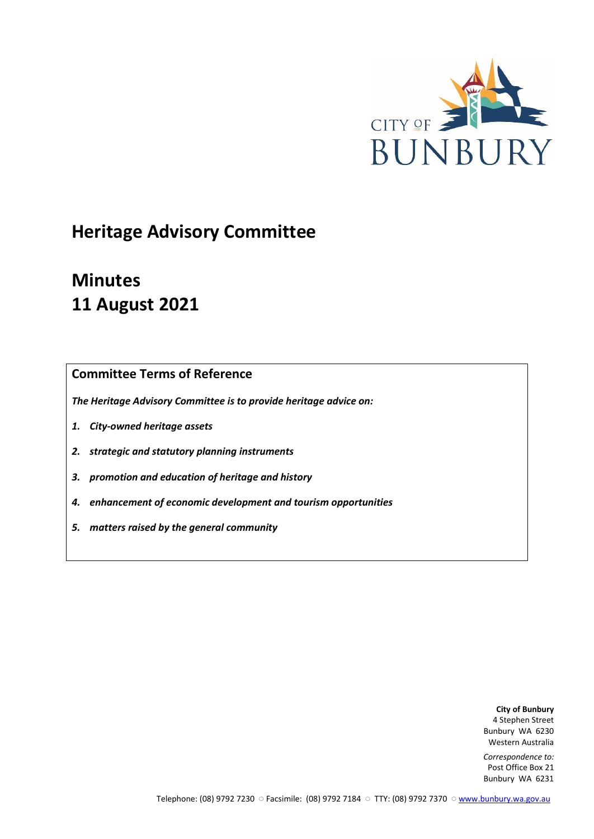

# **Heritage Advisory Committee**

# **Minutes 11 August 2021**

# **Committee Terms of Reference**

*The Heritage Advisory Committee is to provide heritage advice on:*

- *1. City-owned heritage assets*
- *2. strategic and statutory planning instruments*
- *3. promotion and education of heritage and history*
- *4. enhancement of economic development and tourism opportunities*
- *5. matters raised by the general community*

**City of Bunbury** 4 Stephen Street Bunbury WA 6230 Western Australia

*Correspondence to:* Post Office Box 21 Bunbury WA 6231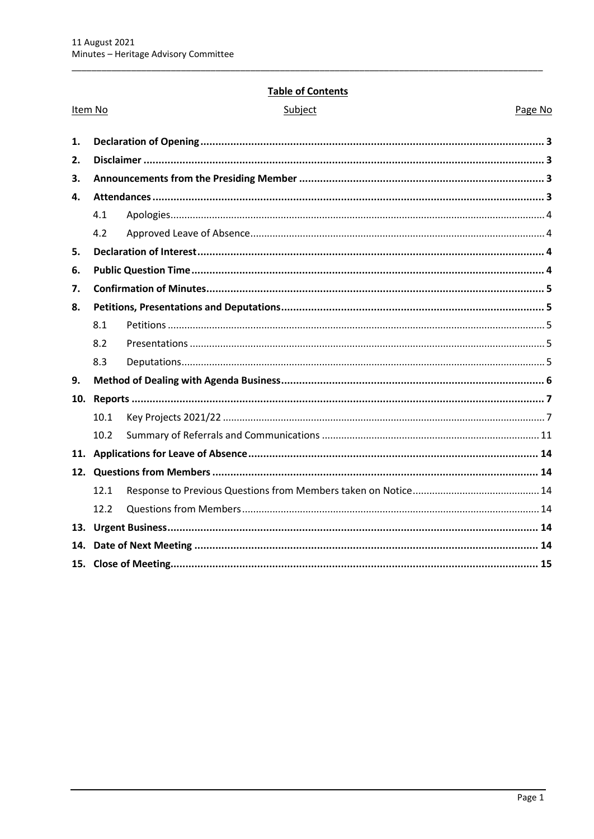## **Table of Contents**

|     | Item No | Subject<br>Page No |  |
|-----|---------|--------------------|--|
| 1.  |         |                    |  |
| 2.  |         |                    |  |
| 3.  |         |                    |  |
| 4.  |         |                    |  |
|     | 4.1     |                    |  |
|     | 4.2     |                    |  |
| 5.  |         |                    |  |
| 6.  |         |                    |  |
| 7.  |         |                    |  |
| 8.  |         |                    |  |
|     | 8.1     |                    |  |
|     | 8.2     |                    |  |
|     | 8.3     |                    |  |
| 9.  |         |                    |  |
| 10. |         |                    |  |
|     | 10.1    |                    |  |
|     | 10.2    |                    |  |
|     |         |                    |  |
|     |         |                    |  |
|     | 12.1    |                    |  |
|     | 12.2    |                    |  |
|     |         |                    |  |
| 14. |         |                    |  |
|     |         |                    |  |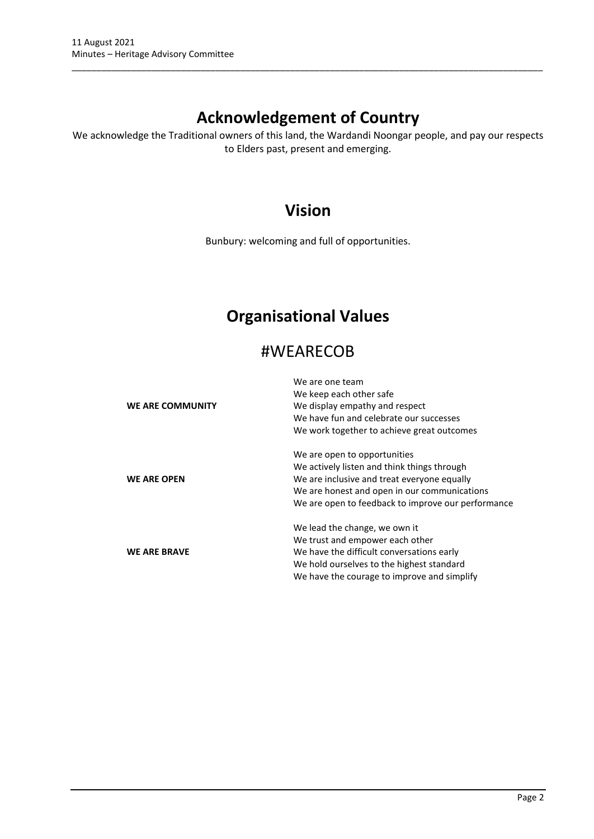# **Acknowledgement of Country**

\_\_\_\_\_\_\_\_\_\_\_\_\_\_\_\_\_\_\_\_\_\_\_\_\_\_\_\_\_\_\_\_\_\_\_\_\_\_\_\_\_\_\_\_\_\_\_\_\_\_\_\_\_\_\_\_\_\_\_\_\_\_\_\_\_\_\_\_\_\_\_\_\_\_\_\_\_\_\_\_\_\_\_\_\_\_\_\_\_\_\_\_\_\_\_

We acknowledge the Traditional owners of this land, the Wardandi Noongar people, and pay our respects to Elders past, present and emerging.

# **Vision**

Bunbury: welcoming and full of opportunities.

# **Organisational Values**

# #WEARECOB

|                     | We are one team                                    |
|---------------------|----------------------------------------------------|
|                     | We keep each other safe                            |
| WE ARE COMMUNITY    | We display empathy and respect                     |
|                     | We have fun and celebrate our successes            |
|                     | We work together to achieve great outcomes         |
|                     | We are open to opportunities                       |
|                     | We actively listen and think things through        |
| <b>WE ARE OPEN</b>  | We are inclusive and treat everyone equally        |
|                     | We are honest and open in our communications       |
|                     | We are open to feedback to improve our performance |
|                     | We lead the change, we own it                      |
|                     | We trust and empower each other                    |
| <b>WE ARE BRAVE</b> | We have the difficult conversations early          |
|                     | We hold ourselves to the highest standard          |
|                     | We have the courage to improve and simplify        |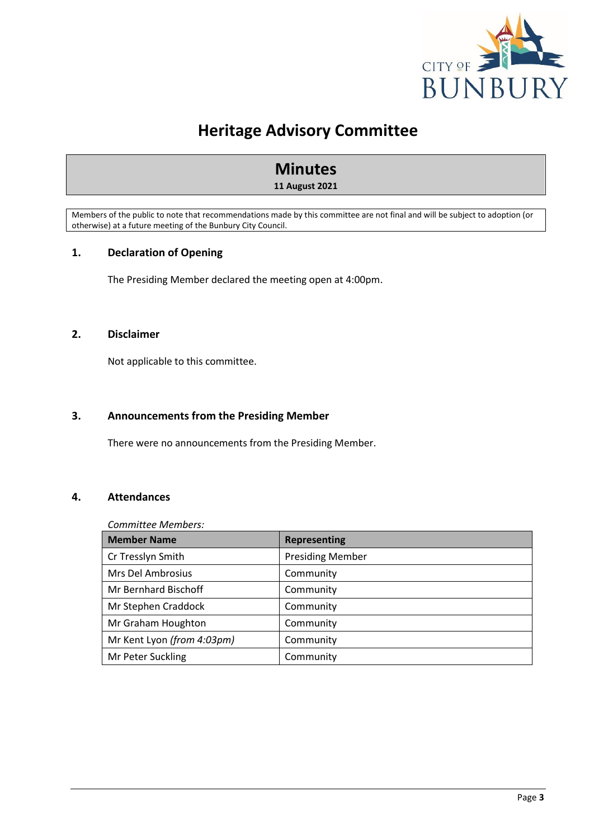

# **Heritage Advisory Committee**

# **Minutes 11 August 2021**

Members of the public to note that recommendations made by this committee are not final and will be subject to adoption (or otherwise) at a future meeting of the Bunbury City Council.

# <span id="page-3-0"></span>**1. Declaration of Opening**

The Presiding Member declared the meeting open at 4:00pm.

## <span id="page-3-1"></span>**2. Disclaimer**

Not applicable to this committee.

# <span id="page-3-2"></span>**3. Announcements from the Presiding Member**

There were no announcements from the Presiding Member.

# <span id="page-3-3"></span>**4. Attendances**

*Committee Members:*

| <b>Member Name</b>         | <b>Representing</b>     |
|----------------------------|-------------------------|
| Cr Tresslyn Smith          | <b>Presiding Member</b> |
| Mrs Del Ambrosius          | Community               |
| Mr Bernhard Bischoff       | Community               |
| Mr Stephen Craddock        | Community               |
| Mr Graham Houghton         | Community               |
| Mr Kent Lyon (from 4:03pm) | Community               |
| Mr Peter Suckling          | Community               |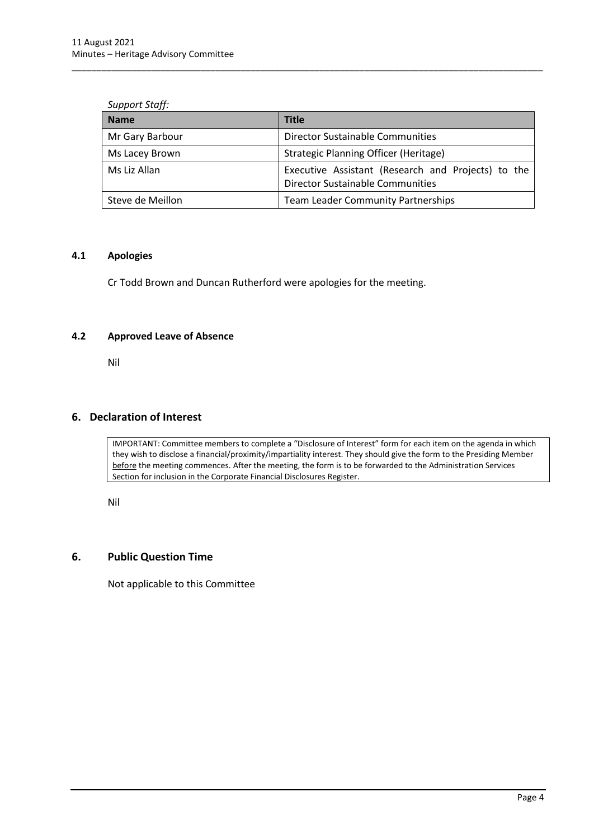#### *Support Staff:*

| <b>Name</b>      | <b>Title</b>                                                                                  |
|------------------|-----------------------------------------------------------------------------------------------|
| Mr Gary Barbour  | <b>Director Sustainable Communities</b>                                                       |
| Ms Lacey Brown   | Strategic Planning Officer (Heritage)                                                         |
| Ms Liz Allan     | Executive Assistant (Research and Projects) to the<br><b>Director Sustainable Communities</b> |
| Steve de Meillon | <b>Team Leader Community Partnerships</b>                                                     |

\_\_\_\_\_\_\_\_\_\_\_\_\_\_\_\_\_\_\_\_\_\_\_\_\_\_\_\_\_\_\_\_\_\_\_\_\_\_\_\_\_\_\_\_\_\_\_\_\_\_\_\_\_\_\_\_\_\_\_\_\_\_\_\_\_\_\_\_\_\_\_\_\_\_\_\_\_\_\_\_\_\_\_\_\_\_\_\_\_\_\_\_\_\_\_

#### <span id="page-4-0"></span>**4.1 Apologies**

Cr Todd Brown and Duncan Rutherford were apologies for the meeting.

# <span id="page-4-1"></span>**4.2 Approved Leave of Absence**

Nil

# <span id="page-4-2"></span>**6. Declaration of Interest**

IMPORTANT: Committee members to complete a "Disclosure of Interest" form for each item on the agenda in which they wish to disclose a financial/proximity/impartiality interest. They should give the form to the Presiding Member before the meeting commences. After the meeting, the form is to be forwarded to the Administration Services Section for inclusion in the Corporate Financial Disclosures Register.

Nil

# <span id="page-4-3"></span>**6. Public Question Time**

Not applicable to this Committee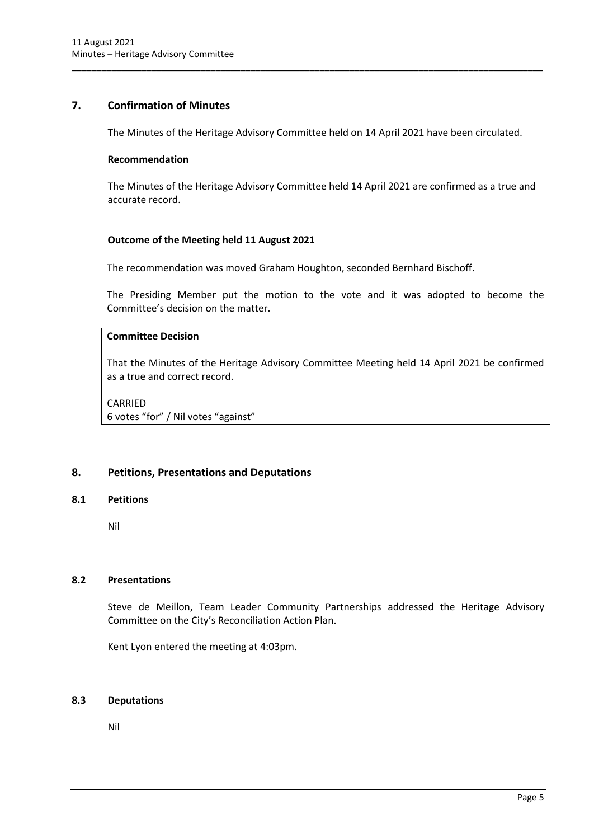# <span id="page-5-0"></span>**7. Confirmation of Minutes**

The Minutes of the Heritage Advisory Committee held on 14 April 2021 have been circulated.

\_\_\_\_\_\_\_\_\_\_\_\_\_\_\_\_\_\_\_\_\_\_\_\_\_\_\_\_\_\_\_\_\_\_\_\_\_\_\_\_\_\_\_\_\_\_\_\_\_\_\_\_\_\_\_\_\_\_\_\_\_\_\_\_\_\_\_\_\_\_\_\_\_\_\_\_\_\_\_\_\_\_\_\_\_\_\_\_\_\_\_\_\_\_\_

#### **Recommendation**

The Minutes of the Heritage Advisory Committee held 14 April 2021 are confirmed as a true and accurate record.

## **Outcome of the Meeting held 11 August 2021**

The recommendation was moved Graham Houghton, seconded Bernhard Bischoff.

The Presiding Member put the motion to the vote and it was adopted to become the Committee's decision on the matter.

# **Committee Decision**

That the Minutes of the Heritage Advisory Committee Meeting held 14 April 2021 be confirmed as a true and correct record.

CARRIED 6 votes "for" / Nil votes "against"

# <span id="page-5-1"></span>**8. Petitions, Presentations and Deputations**

#### <span id="page-5-2"></span>**8.1 Petitions**

Nil

# <span id="page-5-3"></span>**8.2 Presentations**

Steve de Meillon, Team Leader Community Partnerships addressed the Heritage Advisory Committee on the City's Reconciliation Action Plan.

Kent Lyon entered the meeting at 4:03pm.

#### <span id="page-5-4"></span>**8.3 Deputations**

Nil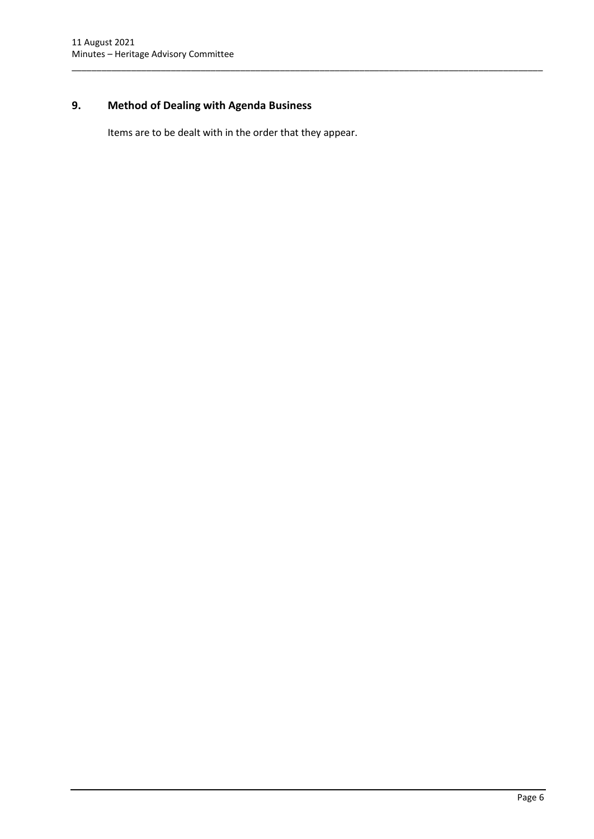# <span id="page-6-0"></span>**9. Method of Dealing with Agenda Business**

Items are to be dealt with in the order that they appear.

\_\_\_\_\_\_\_\_\_\_\_\_\_\_\_\_\_\_\_\_\_\_\_\_\_\_\_\_\_\_\_\_\_\_\_\_\_\_\_\_\_\_\_\_\_\_\_\_\_\_\_\_\_\_\_\_\_\_\_\_\_\_\_\_\_\_\_\_\_\_\_\_\_\_\_\_\_\_\_\_\_\_\_\_\_\_\_\_\_\_\_\_\_\_\_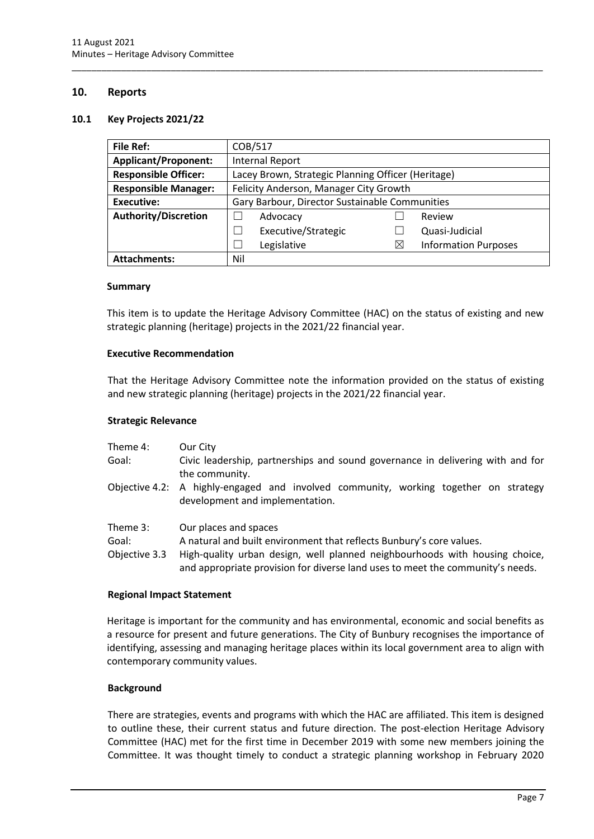### <span id="page-7-0"></span>**10. Reports**

#### <span id="page-7-1"></span>**10.1 Key Projects 2021/22**

| <b>File Ref:</b>            | COB/517                                            |          |                             |  |
|-----------------------------|----------------------------------------------------|----------|-----------------------------|--|
| <b>Applicant/Proponent:</b> | <b>Internal Report</b>                             |          |                             |  |
| <b>Responsible Officer:</b> | Lacey Brown, Strategic Planning Officer (Heritage) |          |                             |  |
| <b>Responsible Manager:</b> | Felicity Anderson, Manager City Growth             |          |                             |  |
| <b>Executive:</b>           | Gary Barbour, Director Sustainable Communities     |          |                             |  |
| <b>Authority/Discretion</b> | Advocacy                                           |          | Review                      |  |
|                             | Executive/Strategic                                |          | Quasi-Judicial              |  |
|                             | Legislative                                        | $\times$ | <b>Information Purposes</b> |  |
| <b>Attachments:</b>         | Nil                                                |          |                             |  |

\_\_\_\_\_\_\_\_\_\_\_\_\_\_\_\_\_\_\_\_\_\_\_\_\_\_\_\_\_\_\_\_\_\_\_\_\_\_\_\_\_\_\_\_\_\_\_\_\_\_\_\_\_\_\_\_\_\_\_\_\_\_\_\_\_\_\_\_\_\_\_\_\_\_\_\_\_\_\_\_\_\_\_\_\_\_\_\_\_\_\_\_\_\_\_

#### **Summary**

This item is to update the Heritage Advisory Committee (HAC) on the status of existing and new strategic planning (heritage) projects in the 2021/22 financial year.

#### **Executive Recommendation**

That the Heritage Advisory Committee note the information provided on the status of existing and new strategic planning (heritage) projects in the 2021/22 financial year.

#### **Strategic Relevance**

| Theme 4:<br>Goal:                  | Our City<br>Civic leadership, partnerships and sound governance in delivering with and for<br>the community.                                                                 |
|------------------------------------|------------------------------------------------------------------------------------------------------------------------------------------------------------------------------|
|                                    | Objective 4.2: A highly-engaged and involved community, working together on strategy<br>development and implementation.                                                      |
| Theme 3:<br>Goal:<br>Objective 3.3 | Our places and spaces<br>A natural and built environment that reflects Bunbury's core values.<br>High-quality urban design, well planned neighbourhoods with housing choice, |

and appropriate provision for diverse land uses to meet the community's needs.

#### **Regional Impact Statement**

Heritage is important for the community and has environmental, economic and social benefits as a resource for present and future generations. The City of Bunbury recognises the importance of identifying, assessing and managing heritage places within its local government area to align with contemporary community values.

#### **Background**

There are strategies, events and programs with which the HAC are affiliated. This item is designed to outline these, their current status and future direction. The post-election Heritage Advisory Committee (HAC) met for the first time in December 2019 with some new members joining the Committee. It was thought timely to conduct a strategic planning workshop in February 2020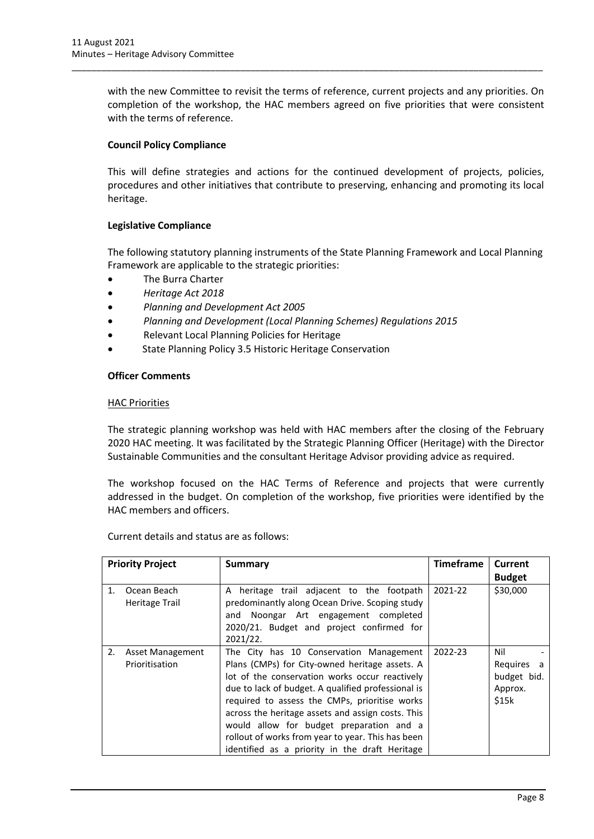with the new Committee to revisit the terms of reference, current projects and any priorities. On completion of the workshop, the HAC members agreed on five priorities that were consistent with the terms of reference.

\_\_\_\_\_\_\_\_\_\_\_\_\_\_\_\_\_\_\_\_\_\_\_\_\_\_\_\_\_\_\_\_\_\_\_\_\_\_\_\_\_\_\_\_\_\_\_\_\_\_\_\_\_\_\_\_\_\_\_\_\_\_\_\_\_\_\_\_\_\_\_\_\_\_\_\_\_\_\_\_\_\_\_\_\_\_\_\_\_\_\_\_\_\_\_

# **Council Policy Compliance**

This will define strategies and actions for the continued development of projects, policies, procedures and other initiatives that contribute to preserving, enhancing and promoting its local heritage.

#### **Legislative Compliance**

The following statutory planning instruments of the State Planning Framework and Local Planning Framework are applicable to the strategic priorities:

- The Burra Charter
- *Heritage Act 2018*
- *Planning and Development Act 2005*
- *Planning and Development (Local Planning Schemes) Regulations 2015*
- Relevant Local Planning Policies for Heritage
- State Planning Policy 3.5 Historic Heritage Conservation

#### **Officer Comments**

#### HAC Priorities

The strategic planning workshop was held with HAC members after the closing of the February 2020 HAC meeting. It was facilitated by the Strategic Planning Officer (Heritage) with the Director Sustainable Communities and the consultant Heritage Advisor providing advice as required.

The workshop focused on the HAC Terms of Reference and projects that were currently addressed in the budget. On completion of the workshop, five priorities were identified by the HAC members and officers.

| <b>Priority Project</b> |                                    | <b>Summary</b>                                                                                                                                                                                                                                                                                                                                                                                                                                             | <b>Timeframe</b> | Current                                              |
|-------------------------|------------------------------------|------------------------------------------------------------------------------------------------------------------------------------------------------------------------------------------------------------------------------------------------------------------------------------------------------------------------------------------------------------------------------------------------------------------------------------------------------------|------------------|------------------------------------------------------|
|                         |                                    |                                                                                                                                                                                                                                                                                                                                                                                                                                                            |                  | <b>Budget</b>                                        |
| 1.                      | Ocean Beach<br>Heritage Trail      | A heritage trail adjacent to the footpath<br>predominantly along Ocean Drive. Scoping study<br>and Noongar Art engagement completed<br>2020/21. Budget and project confirmed for<br>2021/22.                                                                                                                                                                                                                                                               | 2021-22          | \$30,000                                             |
| 2.                      | Asset Management<br>Prioritisation | The City has 10 Conservation Management<br>Plans (CMPs) for City-owned heritage assets. A<br>lot of the conservation works occur reactively<br>due to lack of budget. A qualified professional is<br>required to assess the CMPs, prioritise works<br>across the heritage assets and assign costs. This<br>would allow for budget preparation and a<br>rollout of works from year to year. This has been<br>identified as a priority in the draft Heritage | 2022-23          | Nil<br>Requires a<br>budget bid.<br>Approx.<br>\$15k |

Current details and status are as follows: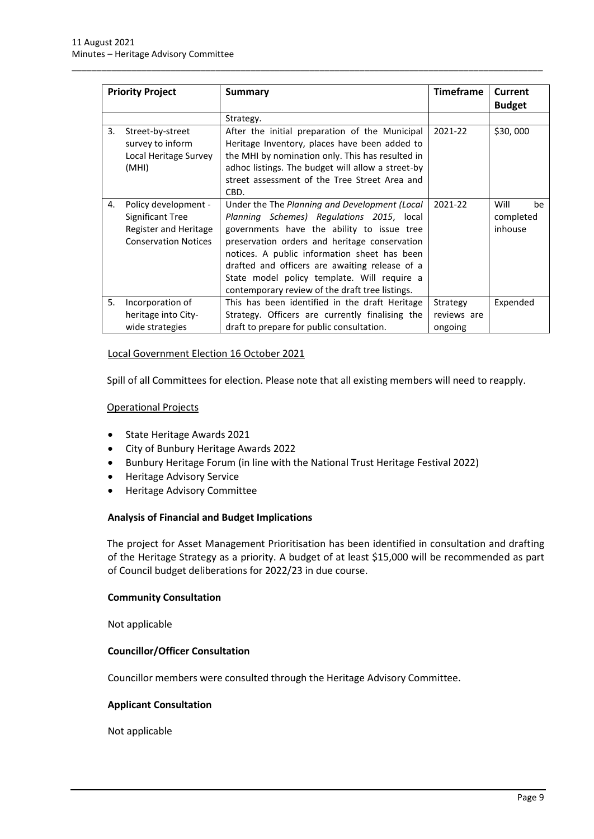| <b>Priority Project</b> |                                                                                                  | <b>Summary</b>                                                                                                                                                                                                                                                                                                                                                                                | <b>Timeframe</b>                   | <b>Current</b><br><b>Budget</b>    |
|-------------------------|--------------------------------------------------------------------------------------------------|-----------------------------------------------------------------------------------------------------------------------------------------------------------------------------------------------------------------------------------------------------------------------------------------------------------------------------------------------------------------------------------------------|------------------------------------|------------------------------------|
|                         |                                                                                                  | Strategy.                                                                                                                                                                                                                                                                                                                                                                                     |                                    |                                    |
| 3.                      | Street-by-street<br>survey to inform<br>Local Heritage Survey<br>(MHI)                           | After the initial preparation of the Municipal<br>Heritage Inventory, places have been added to<br>the MHI by nomination only. This has resulted in<br>adhoc listings. The budget will allow a street-by<br>street assessment of the Tree Street Area and<br>CBD.                                                                                                                             | 2021-22                            | \$30,000                           |
| 4.                      | Policy development -<br>Significant Tree<br>Register and Heritage<br><b>Conservation Notices</b> | Under the The Planning and Development (Local<br>Planning Schemes) Regulations 2015, local<br>governments have the ability to issue tree<br>preservation orders and heritage conservation<br>notices. A public information sheet has been<br>drafted and officers are awaiting release of a<br>State model policy template. Will require a<br>contemporary review of the draft tree listings. | 2021-22                            | Will<br>be<br>completed<br>inhouse |
| 5.                      | Incorporation of<br>heritage into City-<br>wide strategies                                       | This has been identified in the draft Heritage<br>Strategy. Officers are currently finalising the<br>draft to prepare for public consultation.                                                                                                                                                                                                                                                | Strategy<br>reviews are<br>ongoing | Expended                           |

\_\_\_\_\_\_\_\_\_\_\_\_\_\_\_\_\_\_\_\_\_\_\_\_\_\_\_\_\_\_\_\_\_\_\_\_\_\_\_\_\_\_\_\_\_\_\_\_\_\_\_\_\_\_\_\_\_\_\_\_\_\_\_\_\_\_\_\_\_\_\_\_\_\_\_\_\_\_\_\_\_\_\_\_\_\_\_\_\_\_\_\_\_\_\_

#### Local Government Election 16 October 2021

Spill of all Committees for election. Please note that all existing members will need to reapply.

#### Operational Projects

- State Heritage Awards 2021
- City of Bunbury Heritage Awards 2022
- Bunbury Heritage Forum (in line with the National Trust Heritage Festival 2022)
- Heritage Advisory Service
- Heritage Advisory Committee

#### **Analysis of Financial and Budget Implications**

The project for Asset Management Prioritisation has been identified in consultation and drafting of the Heritage Strategy as a priority. A budget of at least \$15,000 will be recommended as part of Council budget deliberations for 2022/23 in due course.

#### **Community Consultation**

Not applicable

#### **Councillor/Officer Consultation**

Councillor members were consulted through the Heritage Advisory Committee.

#### **Applicant Consultation**

Not applicable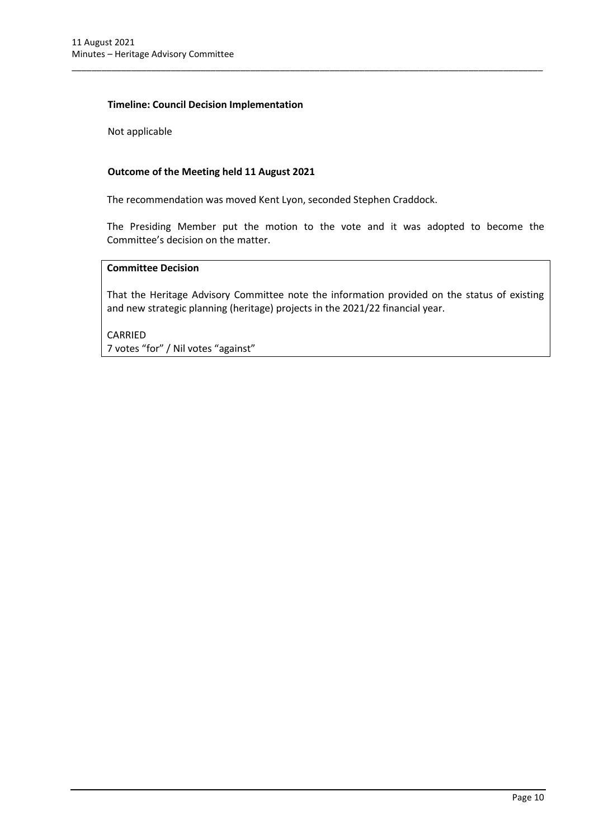### **Timeline: Council Decision Implementation**

Not applicable

## **Outcome of the Meeting held 11 August 2021**

The recommendation was moved Kent Lyon, seconded Stephen Craddock.

The Presiding Member put the motion to the vote and it was adopted to become the Committee's decision on the matter.

\_\_\_\_\_\_\_\_\_\_\_\_\_\_\_\_\_\_\_\_\_\_\_\_\_\_\_\_\_\_\_\_\_\_\_\_\_\_\_\_\_\_\_\_\_\_\_\_\_\_\_\_\_\_\_\_\_\_\_\_\_\_\_\_\_\_\_\_\_\_\_\_\_\_\_\_\_\_\_\_\_\_\_\_\_\_\_\_\_\_\_\_\_\_\_

# **Committee Decision**

That the Heritage Advisory Committee note the information provided on the status of existing and new strategic planning (heritage) projects in the 2021/22 financial year.

CARRIED 7 votes "for" / Nil votes "against"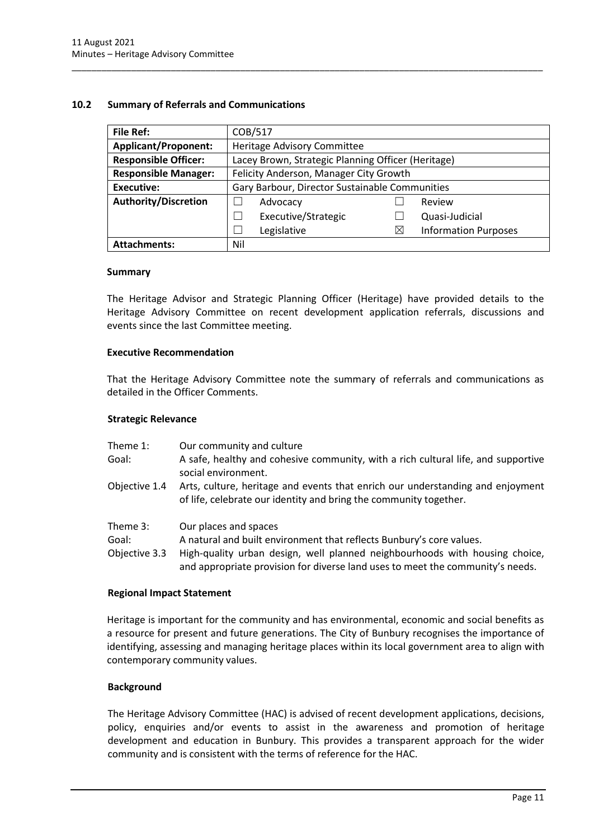#### <span id="page-11-0"></span>**10.2 Summary of Referrals and Communications**

| <b>File Ref:</b>            | COB/517                                            |          |                             |
|-----------------------------|----------------------------------------------------|----------|-----------------------------|
|                             |                                                    |          |                             |
| <b>Applicant/Proponent:</b> | Heritage Advisory Committee                        |          |                             |
| <b>Responsible Officer:</b> | Lacey Brown, Strategic Planning Officer (Heritage) |          |                             |
| <b>Responsible Manager:</b> | Felicity Anderson, Manager City Growth             |          |                             |
| <b>Executive:</b>           | Gary Barbour, Director Sustainable Communities     |          |                             |
| <b>Authority/Discretion</b> | Advocacy                                           |          | Review                      |
|                             | Executive/Strategic                                |          | Quasi-Judicial              |
|                             | Legislative                                        | $\times$ | <b>Information Purposes</b> |
| <b>Attachments:</b>         | Nil                                                |          |                             |

\_\_\_\_\_\_\_\_\_\_\_\_\_\_\_\_\_\_\_\_\_\_\_\_\_\_\_\_\_\_\_\_\_\_\_\_\_\_\_\_\_\_\_\_\_\_\_\_\_\_\_\_\_\_\_\_\_\_\_\_\_\_\_\_\_\_\_\_\_\_\_\_\_\_\_\_\_\_\_\_\_\_\_\_\_\_\_\_\_\_\_\_\_\_\_

#### **Summary**

The Heritage Advisor and Strategic Planning Officer (Heritage) have provided details to the Heritage Advisory Committee on recent development application referrals, discussions and events since the last Committee meeting.

#### **Executive Recommendation**

That the Heritage Advisory Committee note the summary of referrals and communications as detailed in the Officer Comments.

#### **Strategic Relevance**

| Theme 1:<br>Goal:                  | Our community and culture<br>A safe, healthy and cohesive community, with a rich cultural life, and supportive<br>social environment.                                                                                                                          |
|------------------------------------|----------------------------------------------------------------------------------------------------------------------------------------------------------------------------------------------------------------------------------------------------------------|
| Objective 1.4                      | Arts, culture, heritage and events that enrich our understanding and enjoyment<br>of life, celebrate our identity and bring the community together.                                                                                                            |
| Theme 3:<br>Goal:<br>Objective 3.3 | Our places and spaces<br>A natural and built environment that reflects Bunbury's core values.<br>High-quality urban design, well planned neighbourhoods with housing choice,<br>and appropriate provision for diverse land uses to meet the community's needs. |

#### **Regional Impact Statement**

Heritage is important for the community and has environmental, economic and social benefits as a resource for present and future generations. The City of Bunbury recognises the importance of identifying, assessing and managing heritage places within its local government area to align with contemporary community values.

#### **Background**

The Heritage Advisory Committee (HAC) is advised of recent development applications, decisions, policy, enquiries and/or events to assist in the awareness and promotion of heritage development and education in Bunbury. This provides a transparent approach for the wider community and is consistent with the terms of reference for the HAC.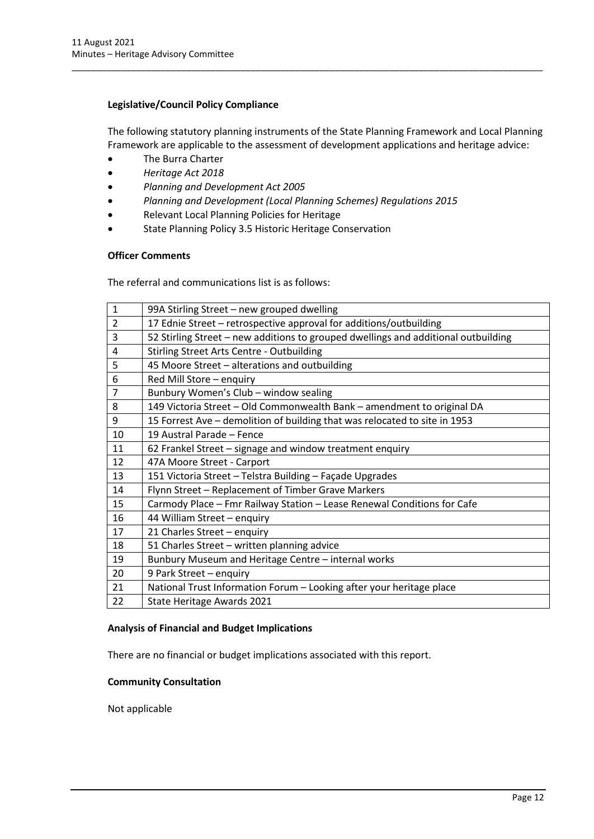# **Legislative/Council Policy Compliance**

The following statutory planning instruments of the State Planning Framework and Local Planning Framework are applicable to the assessment of development applications and heritage advice:

\_\_\_\_\_\_\_\_\_\_\_\_\_\_\_\_\_\_\_\_\_\_\_\_\_\_\_\_\_\_\_\_\_\_\_\_\_\_\_\_\_\_\_\_\_\_\_\_\_\_\_\_\_\_\_\_\_\_\_\_\_\_\_\_\_\_\_\_\_\_\_\_\_\_\_\_\_\_\_\_\_\_\_\_\_\_\_\_\_\_\_\_\_\_\_

- The Burra Charter
- *Heritage Act 2018*
- *Planning and Development Act 2005*
- *Planning and Development (Local Planning Schemes) Regulations 2015*
- Relevant Local Planning Policies for Heritage
- State Planning Policy 3.5 Historic Heritage Conservation

## **Officer Comments**

The referral and communications list is as follows:

| 99A Stirling Street - new grouped dwelling                                         |
|------------------------------------------------------------------------------------|
| 17 Ednie Street - retrospective approval for additions/outbuilding                 |
| 52 Stirling Street - new additions to grouped dwellings and additional outbuilding |
| <b>Stirling Street Arts Centre - Outbuilding</b>                                   |
| 45 Moore Street - alterations and outbuilding                                      |
| Red Mill Store - enquiry                                                           |
| Bunbury Women's Club - window sealing                                              |
| 149 Victoria Street - Old Commonwealth Bank - amendment to original DA             |
| 15 Forrest Ave – demolition of building that was relocated to site in 1953         |
| 19 Austral Parade - Fence                                                          |
| 62 Frankel Street - signage and window treatment enquiry                           |
| 47A Moore Street - Carport                                                         |
| 151 Victoria Street - Telstra Building - Façade Upgrades                           |
| Flynn Street - Replacement of Timber Grave Markers                                 |
| Carmody Place - Fmr Railway Station - Lease Renewal Conditions for Cafe            |
| 44 William Street - enquiry                                                        |
| 21 Charles Street - enquiry                                                        |
| 51 Charles Street - written planning advice                                        |
| Bunbury Museum and Heritage Centre - internal works                                |
| 9 Park Street - enquiry                                                            |
| National Trust Information Forum - Looking after your heritage place               |
| State Heritage Awards 2021                                                         |
|                                                                                    |

#### **Analysis of Financial and Budget Implications**

There are no financial or budget implications associated with this report.

#### **Community Consultation**

Not applicable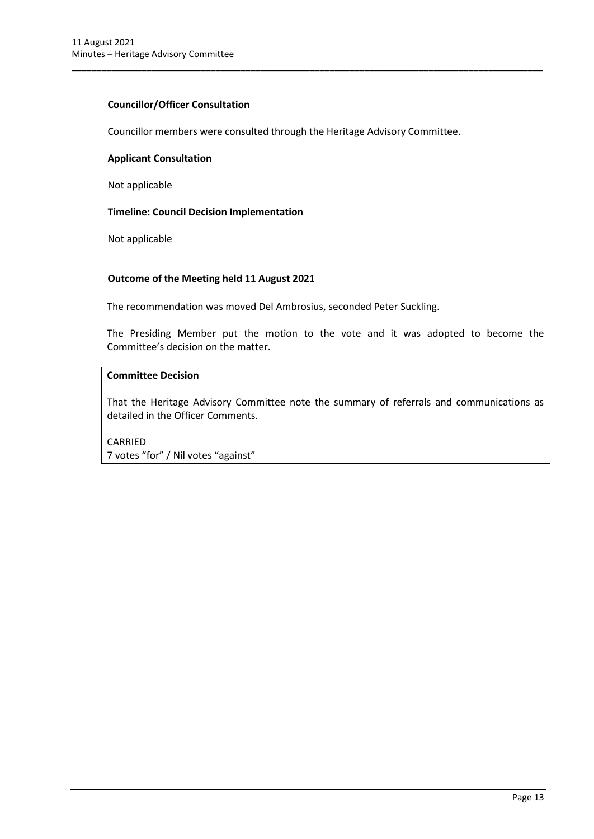# **Councillor/Officer Consultation**

Councillor members were consulted through the Heritage Advisory Committee.

\_\_\_\_\_\_\_\_\_\_\_\_\_\_\_\_\_\_\_\_\_\_\_\_\_\_\_\_\_\_\_\_\_\_\_\_\_\_\_\_\_\_\_\_\_\_\_\_\_\_\_\_\_\_\_\_\_\_\_\_\_\_\_\_\_\_\_\_\_\_\_\_\_\_\_\_\_\_\_\_\_\_\_\_\_\_\_\_\_\_\_\_\_\_\_

#### **Applicant Consultation**

Not applicable

## **Timeline: Council Decision Implementation**

Not applicable

## **Outcome of the Meeting held 11 August 2021**

The recommendation was moved Del Ambrosius, seconded Peter Suckling.

The Presiding Member put the motion to the vote and it was adopted to become the Committee's decision on the matter.

# **Committee Decision**

That the Heritage Advisory Committee note the summary of referrals and communications as detailed in the Officer Comments.

CARRIED 7 votes "for" / Nil votes "against"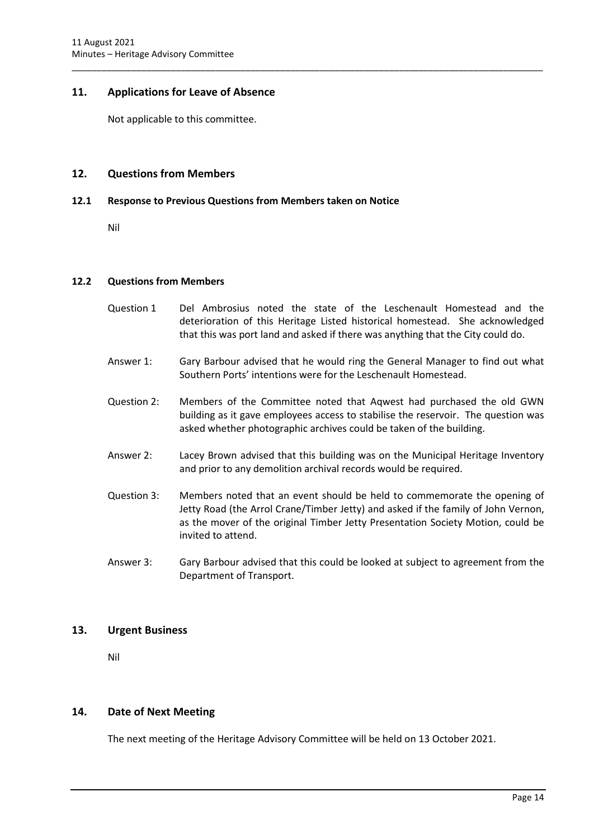## <span id="page-14-0"></span>**11. Applications for Leave of Absence**

Not applicable to this committee.

### <span id="page-14-1"></span>**12. Questions from Members**

#### <span id="page-14-2"></span>**12.1 Response to Previous Questions from Members taken on Notice**

Nil

#### <span id="page-14-3"></span>**12.2 Questions from Members**

Question 1 Del Ambrosius noted the state of the Leschenault Homestead and the deterioration of this Heritage Listed historical homestead. She acknowledged that this was port land and asked if there was anything that the City could do.

\_\_\_\_\_\_\_\_\_\_\_\_\_\_\_\_\_\_\_\_\_\_\_\_\_\_\_\_\_\_\_\_\_\_\_\_\_\_\_\_\_\_\_\_\_\_\_\_\_\_\_\_\_\_\_\_\_\_\_\_\_\_\_\_\_\_\_\_\_\_\_\_\_\_\_\_\_\_\_\_\_\_\_\_\_\_\_\_\_\_\_\_\_\_\_

- Answer 1: Gary Barbour advised that he would ring the General Manager to find out what Southern Ports' intentions were for the Leschenault Homestead.
- Question 2: Members of the Committee noted that Aqwest had purchased the old GWN building as it gave employees access to stabilise the reservoir. The question was asked whether photographic archives could be taken of the building.
- Answer 2: Lacey Brown advised that this building was on the Municipal Heritage Inventory and prior to any demolition archival records would be required.
- Question 3: Members noted that an event should be held to commemorate the opening of Jetty Road (the Arrol Crane/Timber Jetty) and asked if the family of John Vernon, as the mover of the original Timber Jetty Presentation Society Motion, could be invited to attend.
- Answer 3: Gary Barbour advised that this could be looked at subject to agreement from the Department of Transport.

#### <span id="page-14-4"></span>**13. Urgent Business**

Nil

#### <span id="page-14-5"></span>**14. Date of Next Meeting**

The next meeting of the Heritage Advisory Committee will be held on 13 October 2021.